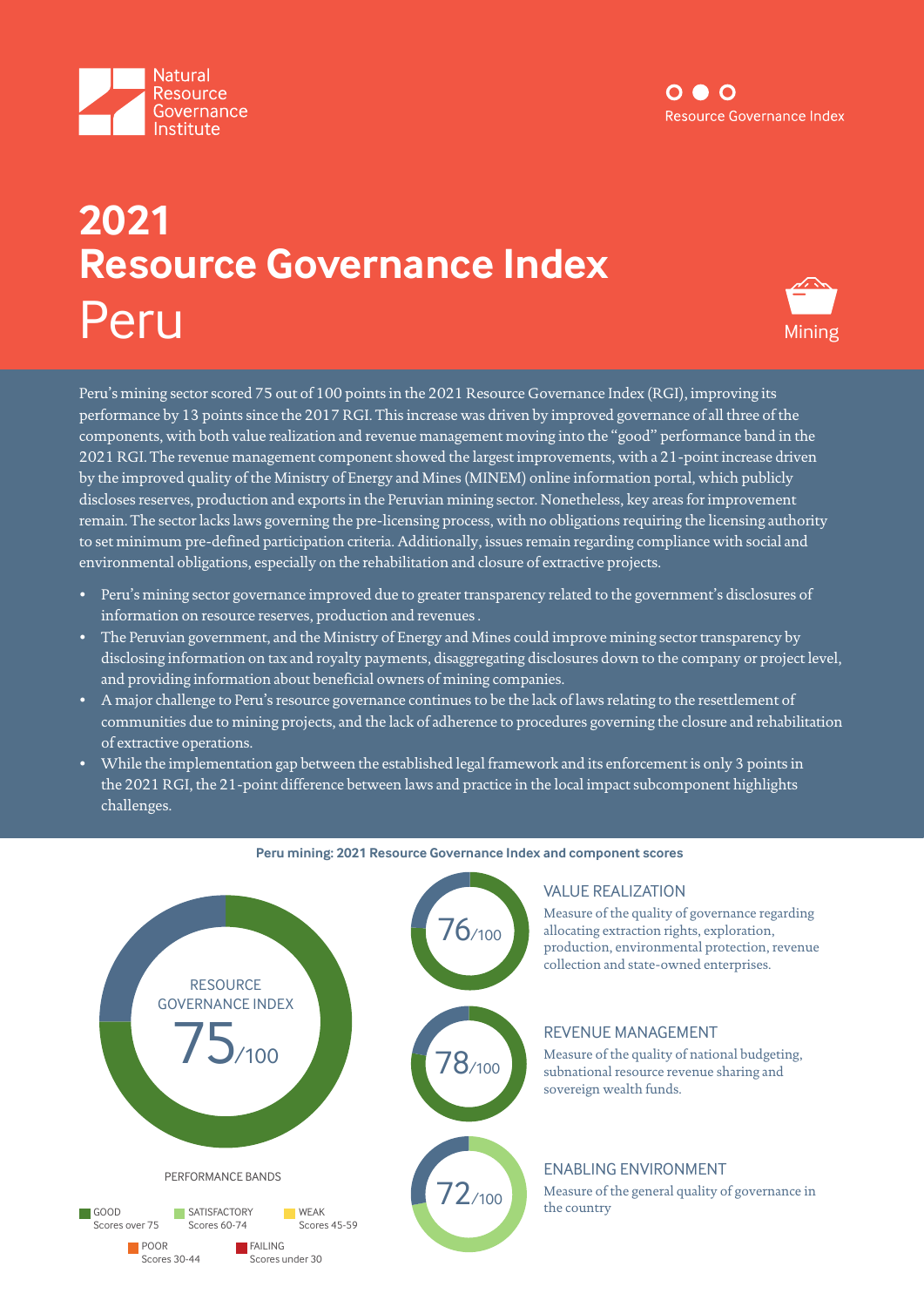



# **2021 Resource Governance Index** Peru Mining



Peru's mining sector scored 75 out of 100 points in the 2021 Resource Governance Index (RGI), improving its performance by 13 points since the 2017 RGI. This increase was driven by improved governance of all three of the components, with both value realization and revenue management moving into the "good" performance band in the 2021 RGI. The revenue management component showed the largest improvements, with a 21-point increase driven by the improved quality of the Ministry of Energy and Mines (MINEM) online information portal, which publicly discloses reserves, production and exports in the Peruvian mining sector. Nonetheless, key areas for improvement remain. The sector lacks laws governing the pre-licensing process, with no obligations requiring the licensing authority to set minimum pre-defined participation criteria. Additionally, issues remain regarding compliance with social and environmental obligations, especially on the rehabilitation and closure of extractive projects.

- Peru's mining sector governance improved due to greater transparency related to the government's disclosures of information on resource reserves, production and revenues .
- The Peruvian government, and the Ministry of Energy and Mines could improve mining sector transparency by disclosing information on tax and royalty payments, disaggregating disclosures down to the company or project level, and providing information about beneficial owners of mining companies.
- A major challenge to Peru's resource governance continues to be the lack of laws relating to the resettlement of communities due to mining projects, and the lack of adherence to procedures governing the closure and rehabilitation of extractive operations.
- While the implementation gap between the established legal framework and its enforcement is only 3 points in the 2021 RGI, the 21-point difference between laws and practice in the local impact subcomponent highlights challenges.



#### **Peru mining: 2021 Resource Governance Index and component scores**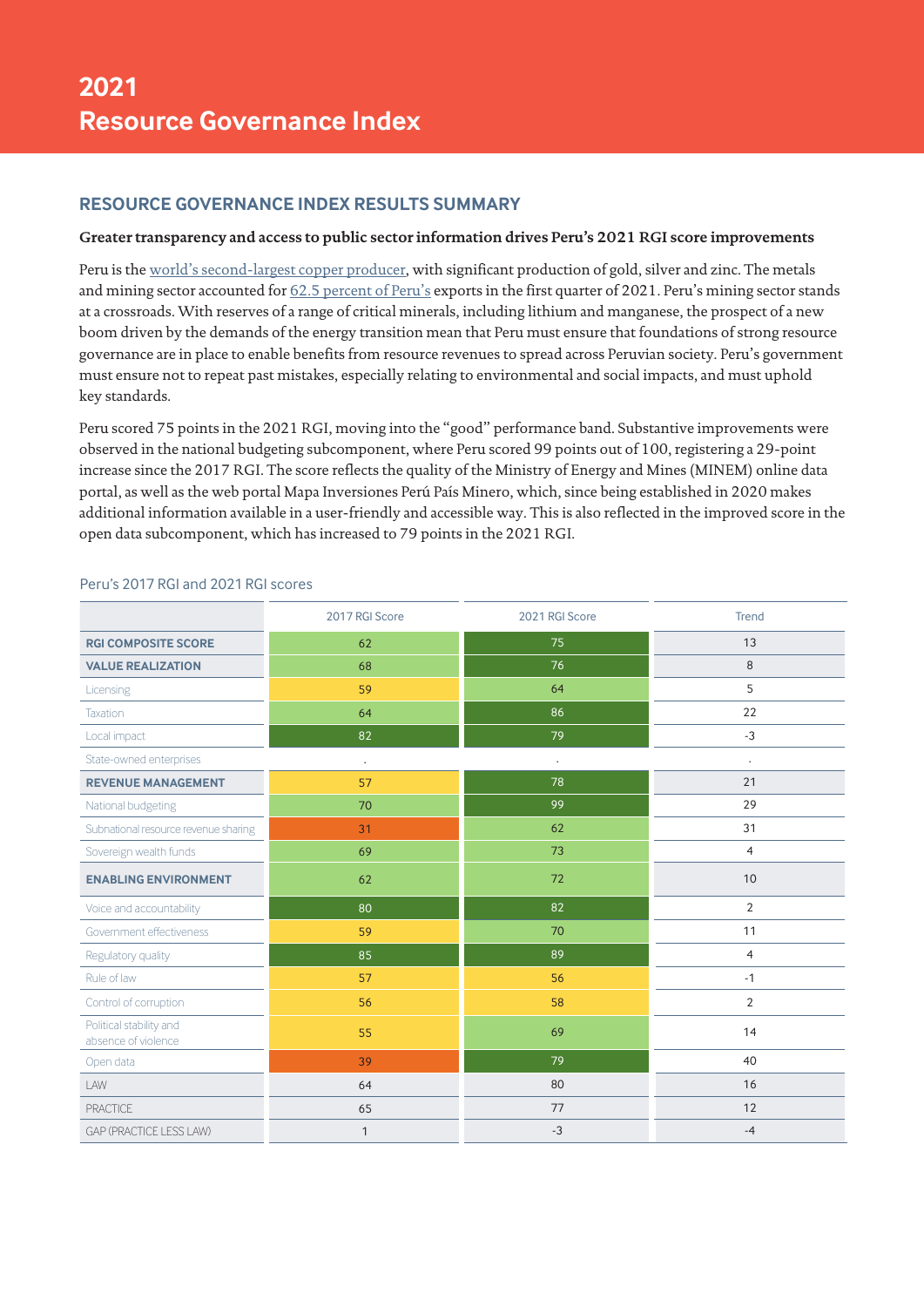# **RESOURCE GOVERNANCE INDEX RESULTS SUMMARY**

#### **Greater transparency and access to public sector information drives Peru's 2021 RGI score improvements**

Peru is the [world's second-largest copper producer](https://pubs.usgs.gov/periodicals/mcs2021/mcs2021-copper.pdf), with significant production of gold, silver and zinc. The metals and mining sector accounted for [62.5 percent of Peru's](http://www.minem.gob.pe/minem/archivos/file/Mineria/PUBLICACIONES/VARIABLES/2021/BEM 04-2021.pdf) exports in the first quarter of 2021. Peru's mining sector stands at a crossroads. With reserves of a range of critical minerals, including lithium and manganese, the prospect of a new boom driven by the demands of the energy transition mean that Peru must ensure that foundations of strong resource governance are in place to enable benefits from resource revenues to spread across Peruvian society. Peru's government must ensure not to repeat past mistakes, especially relating to environmental and social impacts, and must uphold key standards.

Peru scored 75 points in the 2021 RGI, moving into the "good" performance band. Substantive improvements were observed in the national budgeting subcomponent, where Peru scored 99 points out of 100, registering a 29-point increase since the 2017 RGI. The score reflects the quality of the Ministry of Energy and Mines (MINEM) online data portal, as well as the web portal Mapa Inversiones Perú País Minero, which, since being established in 2020 makes additional information available in a user-friendly and accessible way. This is also reflected in the improved score in the open data subcomponent, which has increased to 79 points in the 2021 RGI.

|                                                | 2017 RGI Score | 2021 RGI Score       | Trend          |
|------------------------------------------------|----------------|----------------------|----------------|
| <b>RGI COMPOSITE SCORE</b>                     | 62             | 75                   | 13             |
| <b>VALUE REALIZATION</b>                       | 68             | 76                   | 8              |
| Licensing                                      | 59             | 64                   | 5              |
| Taxation                                       | 64             | 86                   | 22             |
| Local impact                                   | 82             | 79                   | $-3$           |
| State-owned enterprises                        | $\blacksquare$ | $\ddot{\phantom{a}}$ | $\cdot$        |
| <b>REVENUE MANAGEMENT</b>                      | 57             | 78                   | 21             |
| National budgeting                             | 70             | 99                   | 29             |
| Subnational resource revenue sharing           | 31             | 62                   | 31             |
| Sovereign wealth funds                         | 69             | 73                   | $\overline{4}$ |
| <b>ENABLING ENVIRONMENT</b>                    | 62             | 72                   | 10             |
| Voice and accountability                       | 80             | 82                   | $\overline{2}$ |
| Government effectiveness                       | 59             | 70                   | 11             |
| Regulatory quality                             | 85             | 89                   | $\overline{4}$ |
| Rule of law                                    | 57             | 56                   | $-1$           |
| Control of corruption                          | 56             | 58                   | $\overline{2}$ |
| Political stability and<br>absence of violence | 55             | 69                   | 14             |
| Open data                                      | 39             | 79                   | 40             |
| LAW                                            | 64             | 80                   | 16             |
| <b>PRACTICE</b>                                | 65             | 77                   | 12             |
| GAP (PRACTICE LESS LAW)                        | $\mathbf{1}$   | $-3$                 | $-4$           |

#### Peru's 2017 RGI and 2021 RGI scores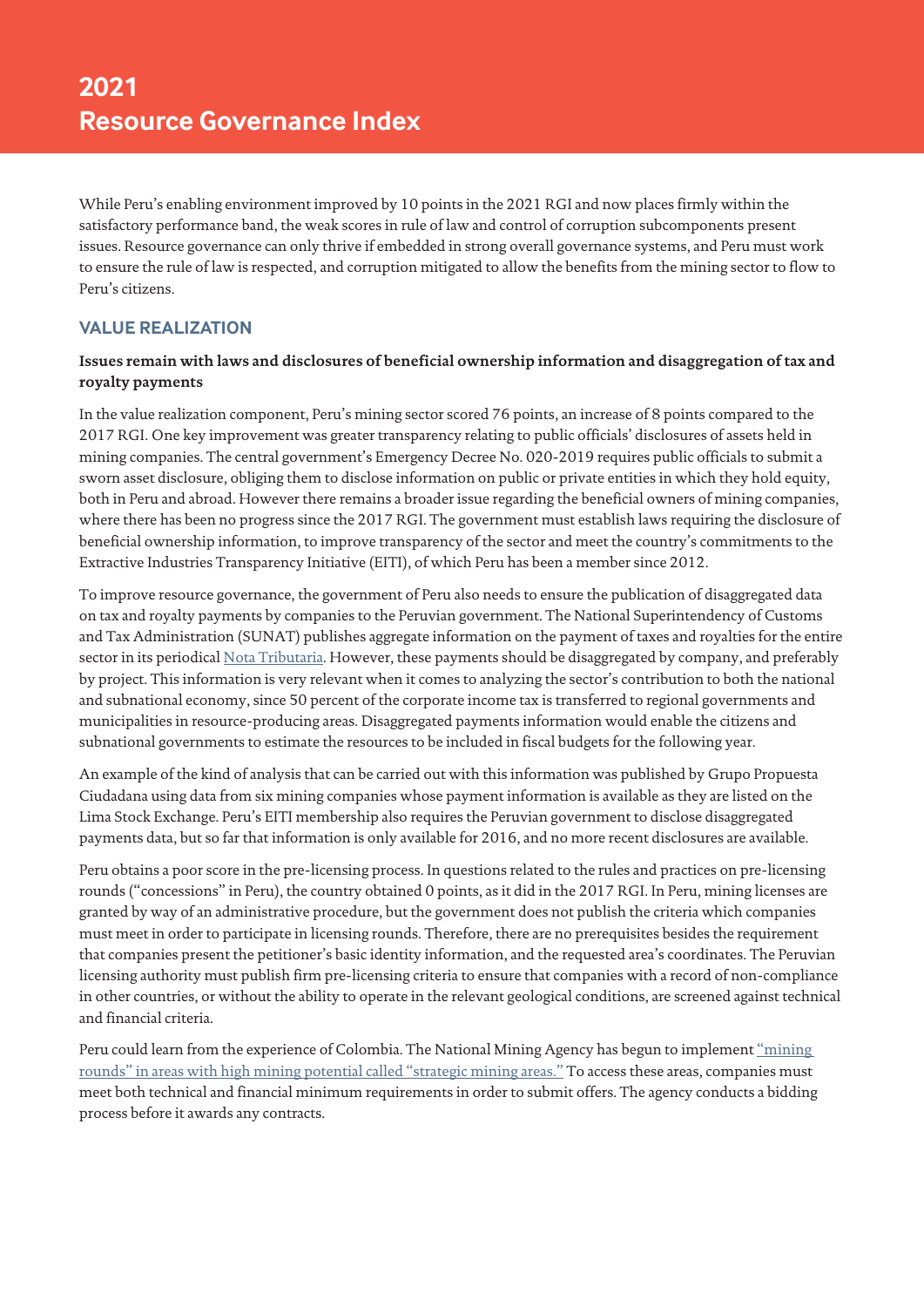While Peru's enabling environment improved by 10 points in the 2021 RGI and now places firmly within the satisfactory performance band, the weak scores in rule of law and control of corruption subcomponents present issues. Resource governance can only thrive if embedded in strong overall governance systems, and Peru must work to ensure the rule of law is respected, and corruption mitigated to allow the benefits from the mining sector to flow to Peru's citizens.

## **VALUE REALIZATION**

#### **Issues remain with laws and disclosures of beneficial ownership information and disaggregation of tax and royalty payments**

In the value realization component, Peru's mining sector scored 76 points, an increase of 8 points compared to the 2017 RGI. One key improvement was greater transparency relating to public officials' disclosures of assets held in mining companies. The central government's Emergency Decree No. 020-2019 requires public officials to submit a sworn asset disclosure, obliging them to disclose information on public or private entities in which they hold equity, both in Peru and abroad. However there remains a broader issue regarding the beneficial owners of mining companies, where there has been no progress since the 2017 RGI. The government must establish laws requiring the disclosure of beneficial ownership information, to improve transparency of the sector and meet the country's commitments to the Extractive Industries Transparency Initiative (EITI), of which Peru has been a member since 2012.

To improve resource governance, the government of Peru also needs to ensure the publication of disaggregated data on tax and royalty payments by companies to the Peruvian government. The National Superintendency of Customs and Tax Administration (SUNAT) publishes aggregate information on the payment of taxes and royalties for the entire sector in its periodical [Nota Tributaria](https://www.sunat.gob.pe/estadisticasestudios/ingresos-recaudados.html). However, these payments should be disaggregated by company, and preferably by project. This information is very relevant when it comes to analyzing the sector's contribution to both the national and subnational economy, since 50 percent of the corporate income tax is transferred to regional governments and municipalities in resource-producing areas. Disaggregated payments information would enable the citizens and subnational governments to estimate the resources to be included in fiscal budgets for the following year.

An example of the kind of analysis that can be carried out with this information was published by Grupo Propuesta Ciudadana using data from six mining companies whose payment information is available as they are listed on the Lima Stock Exchange. Peru's EITI membership also requires the Peruvian government to disclose disaggregated payments data, but so far that information is only available for 2016, and no more recent disclosures are available.

Peru obtains a poor score in the pre-licensing process. In questions related to the rules and practices on pre-licensing rounds ("concessions" in Peru), the country obtained 0 points, as it did in the 2017 RGI. In Peru, mining licenses are granted by way of an administrative procedure, but the government does not publish the criteria which companies must meet in order to participate in licensing rounds. Therefore, there are no prerequisites besides the requirement that companies present the petitioner's basic identity information, and the requested area's coordinates. The Peruvian licensing authority must publish firm pre-licensing criteria to ensure that companies with a record of non-compliance in other countries, or without the ability to operate in the relevant geological conditions, are screened against technical and financial criteria.

Peru could learn from the experience of Colombia. The National Mining Agency has begun to implement "mining" [rounds" in areas with high mining potential called "strategic mining areas."](https://www.larepublica.co/economia/anm-publico-las-cuatro-areas-estrategicas-mineras-de-la-primera-ronda-minera-2021-3131174) To access these areas, companies must meet both technical and financial minimum requirements in order to submit offers. The agency conducts a bidding process before it awards any contracts.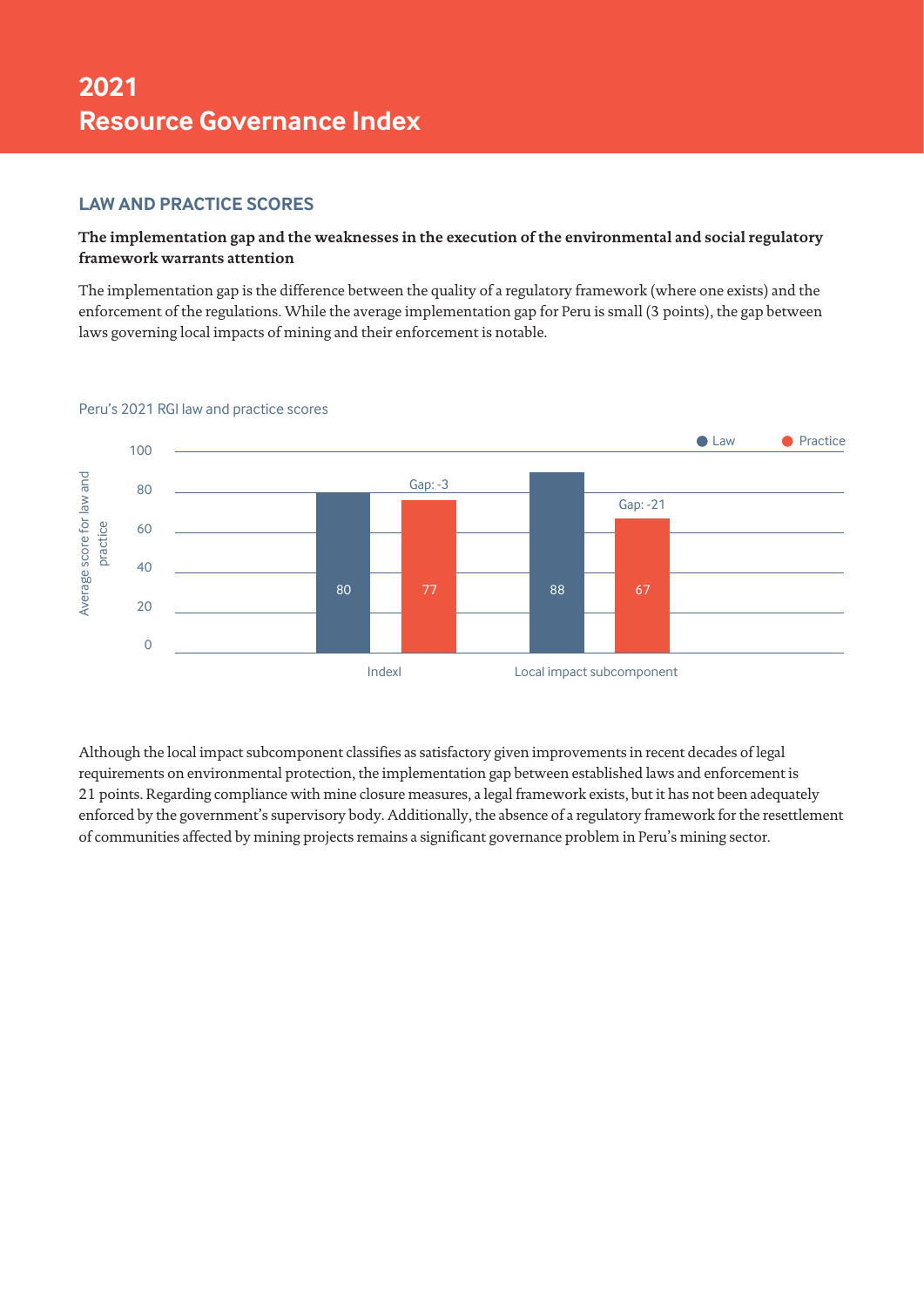## **LAW AND PRACTICE SCORES**

## **The implementation gap and the weaknesses in the execution of the environmental and social regulatory framework warrants attention**

The implementation gap is the difference between the quality of a regulatory framework (where one exists) and the enforcement of the regulations. While the average implementation gap for Peru is small (3 points), the gap between laws governing local impacts of mining and their enforcement is notable.



#### Peru's 2021 RGI law and practice scores

Although the local impact subcomponent classifies as satisfactory given improvements in recent decades of legal requirements on environmental protection, the implementation gap between established laws and enforcement is 21 points. Regarding compliance with mine closure measures, a legal framework exists, but it has not been adequately enforced by the government's supervisory body. Additionally, the absence of a regulatory framework for the resettlement of communities affected by mining projects remains a significant governance problem in Peru's mining sector.